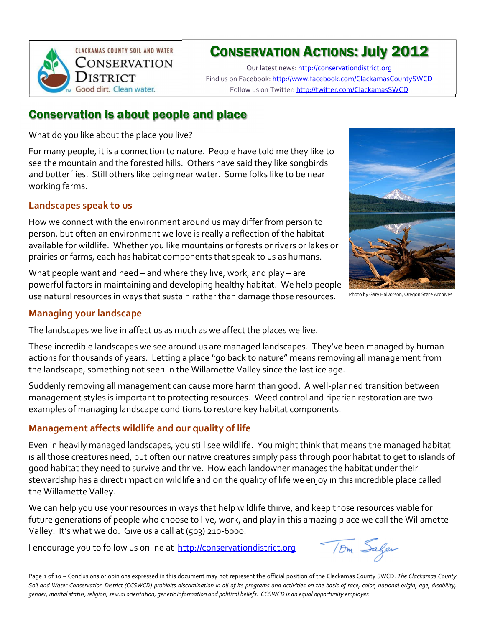

## CONSERVATION ACTIONS: July 2012

Our latest news: http://conservationdistrict.org Find us on Facebook: http://www.facebook.com/ClackamasCountySWCD Follow us on Twitter: http://twitter.com/ClackamasSWCD

## Conservation is about people and place

What do you like about the place you live?

For many people, it is a connection to nature. People have told me they like to see the mountain and the forested hills. Others have said they like songbirds and butterflies. Still others like being near water. Some folks like to be near working farms.

### **Landscapes speak to us**

How we connect with the environment around us may differ from person to person, but often an environment we love is really a reflection of the habitat available for wildlife. Whether you like mountains or forests or rivers or lakes or prairies or farms, each has habitat components that speak to us as humans.

What people want and need – and where they live, work, and play – are powerful factors in maintaining and developing healthy habitat. We help people use natural resources in ways that sustain rather than damage those resources.

## **Managing your landscape**

The landscapes we live in affect us as much as we affect the places we live.

These incredible landscapes we see around us are managed landscapes. They've been managed by human actions for thousands of years. Letting a place "go back to nature" means removing all management from the landscape, something not seen in the Willamette Valley since the last ice age.

Suddenly removing all management can cause more harm than good. A well-planned transition between management styles is important to protecting resources. Weed control and riparian restoration are two examples of managing landscape conditions to restore key habitat components.

## **Management affects wildlife and our quality of life**

Even in heavily managed landscapes, you still see wildlife. You might think that means the managed habitat is all those creatures need, but often our native creatures simply pass through poor habitat to get to islands of good habitat they need to survive and thrive. How each landowner manages the habitat under their stewardship has a direct impact on wildlife and on the quality of life we enjoy in this incredible place called the Willamette Valley.

We can help you use your resources in ways that help wildlife thirve, and keep those resources viable for future generations of people who choose to live, work, and play in this amazing place we call the Willamette Valley. It's what we do. Give us a call at (503) 210-6000.

I encourage you to follow us online at http://conservationdistrict.org

Tom Saler

Page 1 of 10 ~ Conclusions or opinions expressed in this document may not represent the official position of the Clackamas County SWCD. *The Clackamas County Soil and Water Conservation District (CCSWCD) prohibits discrimination in all of its programs and activities on the basis of race, color, national origin, age, disability, gender, marital status, religion, sexual orientation, genetic information and political beliefs. CCSWCD is an equal opportunity employer.*



Photo by Gary Halvorson, Oregon State Archives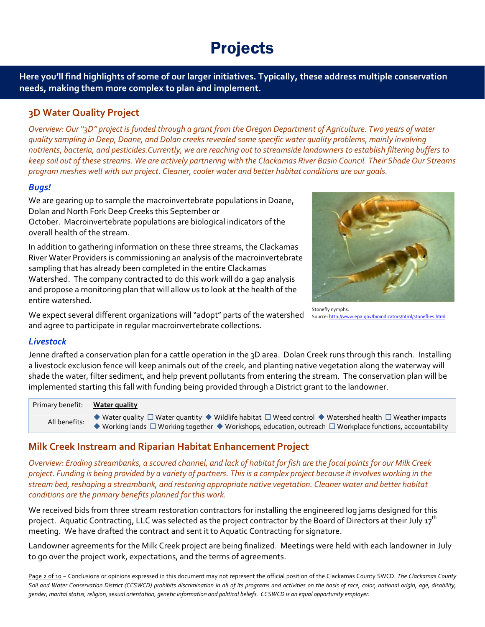# Projects

**Here you'll find highlights of some of our larger initiatives. Typically, these address multiple conservation needs, making them more complex to plan and implement.** 

### **3D Water Quality Project**

*Overview: Our "3D" project is funded through a grant from the Oregon Department of Agriculture. Two years of water quality sampling in Deep, Doane, and Dolan creeks revealed some specific water quality problems, mainly involving nutrients, bacteria, and pesticides.Currently, we are reaching out to streamside landowners to establish filtering buffers to keep soil out of these streams. We are actively partnering with the Clackamas River Basin Council. Their Shade Our Streams program meshes well with our project. Cleaner, cooler water and better habitat conditions are our goals.* 

### *Bugs!*

We are gearing up to sample the macroinvertebrate populations in Doane, Dolan and North Fork Deep Creeks this September or October. Macroinvertebrate populations are biological indicators of the overall health of the stream.

In addition to gathering information on these three streams, the Clackamas River Water Providers is commissioning an analysis of the macroinvertebrate sampling that has already been completed in the entire Clackamas Watershed. The company contracted to do this work will do a gap analysis and propose a monitoring plan that will allow us to look at the health of the entire watershed.



Source: http://www.epa.gov/bioindicators/html/stoneflies.html

We expect several different organizations will "adopt" parts of the watershed and agree to participate in regular macroinvertebrate collections.

### *Livestock*

Jenne drafted a conservation plan for a cattle operation in the 3D area. Dolan Creek runs through this ranch. Installing a livestock exclusion fence will keep animals out of the creek, and planting native vegetation along the waterway will shade the water, filter sediment, and help prevent pollutants from entering the stream. The conservation plan will be implemented starting this fall with funding being provided through a District grant to the landowner.

| Primary benefit: <b>Water quality</b> |                                                                                                                                                                                                                                                                                                                              |
|---------------------------------------|------------------------------------------------------------------------------------------------------------------------------------------------------------------------------------------------------------------------------------------------------------------------------------------------------------------------------|
| All benefits:                         | $\blacklozenge$ Water quality $\square$ Water quantity $\blacklozenge$ Wildlife habitat $\square$ Weed control $\blacklozenge$ Watershed health $\square$ Weather impacts<br>$\blacklozenge$ Working lands $\Box$ Working together $\blacklozenge$ Workshops, education, outreach $\Box$ Workplace functions, accountability |

### **Milk Creek Instream and Riparian Habitat Enhancement Project**

*Overview: Eroding streambanks, a scoured channel, and lack of habitat for fish are the focal points for our Milk Creek project. Funding is being provided by a variety of partners. This is a complex project because it involves working in the stream bed, reshaping a streambank, and restoring appropriate native vegetation. Cleaner water and better habitat conditions are the primary benefits planned for this work.* 

We received bids from three stream restoration contractors for installing the engineered log jams designed for this project. Aquatic Contracting, LLC was selected as the project contractor by the Board of Directors at their July 17<sup>th</sup> meeting. We have drafted the contract and sent it to Aquatic Contracting for signature.

Landowner agreements for the Milk Creek project are being finalized. Meetings were held with each landowner in July to go over the project work, expectations, and the terms of agreements.

Page 2 of 10 ~ Conclusions or opinions expressed in this document may not represent the official position of the Clackamas County SWCD. The Clackamas County *Soil and Water Conservation District (CCSWCD) prohibits discrimination in all of its programs and activities on the basis of race, color, national origin, age, disability, gender, marital status, religion, sexual orientation, genetic information and political beliefs. CCSWCD is an equal opportunity employer.*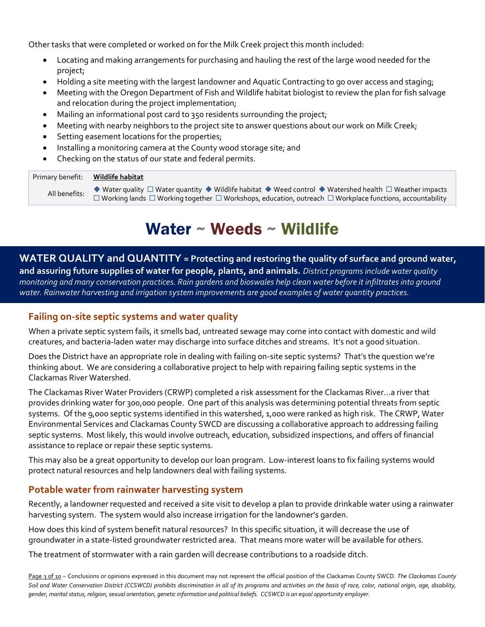Other tasks that were completed or worked on for the Milk Creek project this month included:

- Locating and making arrangements for purchasing and hauling the rest of the large wood needed for the project;
- Holding a site meeting with the largest landowner and Aquatic Contracting to go over access and staging;
- Meeting with the Oregon Department of Fish and Wildlife habitat biologist to review the plan for fish salvage and relocation during the project implementation;
- Mailing an informational post card to 350 residents surrounding the project;
- Meeting with nearby neighbors to the project site to answer questions about our work on Milk Creek;
- Setting easement locations for the properties;
- Installing a monitoring camera at the County wood storage site; and
- Checking on the status of our state and federal permits.

#### Primary benefit: **Wildlife habitat**

All benefits:  $\bullet$  Water quality  $\Box$  Water quantity  $\bullet$  Wildlife habitat  $\bullet$  Weed control  $\bullet$  Watershed health  $\Box$  Weather impacts  $\Box$  Working lands  $\Box$  Working together  $\Box$  Workshops, education, outreach  $\Box$  Workplace functions, accountability

# Water  $\sim$  Weeds  $\sim$  Wildlife

**WATER QUALITY and QUANTITY = Protecting and restoring the quality of surface and ground water, and assuring future supplies of water for people, plants, and animals.** *District programs include water quality monitoring and many conservation practices. Rain gardens and bioswales help clean water before it infiltrates into ground water. Rainwater harvesting and irrigation system improvements are good examples of water quantity practices.*

### **Failing on-site septic systems and water quality**

When a private septic system fails, it smells bad, untreated sewage may come into contact with domestic and wild creatures, and bacteria-laden water may discharge into surface ditches and streams. It's not a good situation.

Does the District have an appropriate role in dealing with failing on-site septic systems? That's the question we're thinking about. We are considering a collaborative project to help with repairing failing septic systems in the Clackamas River Watershed.

The Clackamas River Water Providers (CRWP) completed a risk assessment for the Clackamas River…a river that provides drinking water for 300,000 people. One part of this analysis was determining potential threats from septic systems. Of the 9,000 septic systems identified in this watershed, 1,000 were ranked as high risk. The CRWP, Water Environmental Services and Clackamas County SWCD are discussing a collaborative approach to addressing failing septic systems. Most likely, this would involve outreach, education, subsidized inspections, and offers of financial assistance to replace or repair these septic systems.

This may also be a great opportunity to develop our loan program. Low-interest loans to fix failing systems would protect natural resources and help landowners deal with failing systems.

### **Potable water from rainwater harvesting system**

Recently, a landowner requested and received a site visit to develop a plan to provide drinkable water using a rainwater harvesting system. The system would also increase irrigation for the landowner's garden.

How does this kind of system benefit natural resources? In this specific situation, it will decrease the use of groundwater in a state-listed groundwater restricted area. That means more water will be available for others.

The treatment of stormwater with a rain garden will decrease contributions to a roadside ditch.

Page 3 of 10 ~ Conclusions or opinions expressed in this document may not represent the official position of the Clackamas County SWCD. The Clackamas County *Soil and Water Conservation District (CCSWCD) prohibits discrimination in all of its programs and activities on the basis of race, color, national origin, age, disability, gender, marital status, religion, sexual orientation, genetic information and political beliefs. CCSWCD is an equal opportunity employer.*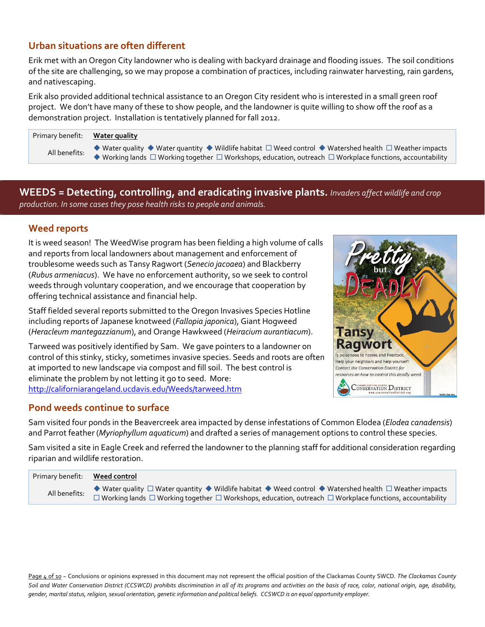### **Urban situations are often different**

Erik met with an Oregon City landowner who is dealing with backyard drainage and flooding issues. The soil conditions of the site are challenging, so we may propose a combination of practices, including rainwater harvesting, rain gardens, and nativescaping.

Erik also provided additional technical assistance to an Oregon City resident who is interested in a small green roof project. We don't have many of these to show people, and the landowner is quite willing to show off the roof as a demonstration project. Installation is tentatively planned for fall 2012.

| Primary benefit: <b>Water quality</b> |                                                                                                                                                                                                                                                         |
|---------------------------------------|---------------------------------------------------------------------------------------------------------------------------------------------------------------------------------------------------------------------------------------------------------|
| All benefits:                         | ◆ Water quality ◆ Water quantity ◆ Wildlife habitat □ Weed control ◆ Watershed health □ Weather impacts<br>$\blacktriangleright$ Working lands $\Box$ Working together $\Box$ Workshops, education, outreach $\Box$ Workplace functions, accountability |

**WEEDS = Detecting, controlling, and eradicating invasive plants.** *Invaders affect wildlife and crop production. In some cases they pose health risks to people and animals.*

### **Weed reports**

It is weed season! The WeedWise program has been fielding a high volume of calls and reports from local landowners about management and enforcement of troublesome weeds such as Tansy Ragwort (*Senecio jacoaea*) and Blackberry (*Rubus armeniacus*). We have no enforcement authority, so we seek to control weeds through voluntary cooperation, and we encourage that cooperation by offering technical assistance and financial help.

Staff fielded several reports submitted to the Oregon Invasives Species Hotline including reports of Japanese knotweed (*Fallopia japonica*), Giant Hogweed (*Heracleum mantegazzianum*), and Orange Hawkweed (*Heiracium aurantiacum*).

Tarweed was positively identified by Sam. We gave pointers to a landowner on control of this stinky, sticky, sometimes invasive species. Seeds and roots are often at imported to new landscape via compost and fill soil. The best control is eliminate the problem by not letting it go to seed. More: http://californiarangeland.ucdavis.edu/Weeds/tarweed.htm

### **Pond weeds continue to surface**

Sam visited four ponds in the Beavercreek area impacted by dense infestations of Common Elodea (*Elodea canadensis*) and Parrot feather (*Myriophyllum aquaticum*) and drafted a series of management options to control these species.

Tansy **Ragwort** s poisonous to horses and livestock Help your neighbors and help yourself! **Contact the Conservation District for** resources on how to control this deadly weed. CONSERVATION DISTRICT

Sam visited a site in Eagle Creek and referred the landowner to the planning staff for additional consideration regarding riparian and wildlife restoration.

| Primary benefit: <b>Weed control</b> |                                                                                                                                                                           |
|--------------------------------------|---------------------------------------------------------------------------------------------------------------------------------------------------------------------------|
| All benefits:                        | $\blacklozenge$ Water quality $\Box$ Water quantity $\blacklozenge$ Wildlife habitat $\blacklozenge$ Weed control $\blacklozenge$ Watershed health $\Box$ Weather impacts |
|                                      | $\Box$ Working lands $\Box$ Working together $\Box$ Workshops, education, outreach $\Box$ Workplace functions, accountability                                             |

Page 4 of 10 ~ Conclusions or opinions expressed in this document may not represent the official position of the Clackamas County SWCD. The Clackamas County *Soil and Water Conservation District (CCSWCD) prohibits discrimination in all of its programs and activities on the basis of race, color, national origin, age, disability, gender, marital status, religion, sexual orientation, genetic information and political beliefs. CCSWCD is an equal opportunity employer.*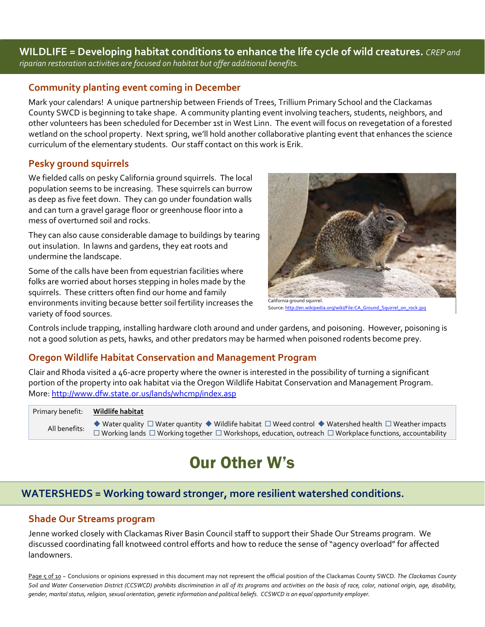### **WILDLIFE = Developing habitat conditions to enhance the life cycle of wild creatures.** *CREP and riparian restoration activities are focused on habitat but offer additional benefits.*

### **Community planting event coming in December**

Mark your calendars! A unique partnership between Friends of Trees, Trillium Primary School and the Clackamas County SWCD is beginning to take shape. A community planting event involving teachers, students, neighbors, and other volunteers has been scheduled for December 1st in West Linn. The event will focus on revegetation of a forested wetland on the school property. Next spring, we'll hold another collaborative planting event that enhances the science curriculum of the elementary students. Our staff contact on this work is Erik.

### **Pesky ground squirrels**

We fielded calls on pesky California ground squirrels. The local population seems to be increasing. These squirrels can burrow as deep as five feet down. They can go under foundation walls and can turn a gravel garage floor or greenhouse floor into a mess of overturned soil and rocks.

They can also cause considerable damage to buildings by tearing out insulation. In lawns and gardens, they eat roots and undermine the landscape.

Some of the calls have been from equestrian facilities where folks are worried about horses stepping in holes made by the squirrels. These critters often find our home and family environments inviting because better soil fertility increases the variety of food sources.



Source: http://en.wikinedia

Controls include trapping, installing hardware cloth around and under gardens, and poisoning. However, poisoning is not a good solution as pets, hawks, and other predators may be harmed when poisoned rodents become prey.

### **Oregon Wildlife Habitat Conservation and Management Program**

Clair and Rhoda visited a 46-acre property where the owner is interested in the possibility of turning a significant portion of the property into oak habitat via the Oregon Wildlife Habitat Conservation and Management Program. More: http://www.dfw.state.or.us/lands/whcmp/index.asp

| Primary benefit: | Wildlife habitat                                                                                                                                                                                                                                                                                  |
|------------------|---------------------------------------------------------------------------------------------------------------------------------------------------------------------------------------------------------------------------------------------------------------------------------------------------|
| All benefits:    | $\blacklozenge$ Water quality $\Box$ Water quantity $\blacklozenge$ Wildlife habitat $\Box$ Weed control $\blacklozenge$ Watershed health $\Box$ Weather impacts<br>$\Box$ Working lands $\Box$ Working together $\Box$ Workshops, education, outreach $\Box$ Workplace functions, accountability |

# Our Other W's

### **WATERSHEDS = Working toward stronger, more resilient watershed conditions.**

### **Shade Our Streams program**

Jenne worked closely with Clackamas River Basin Council staff to support their Shade Our Streams program. We discussed coordinating fall knotweed control efforts and how to reduce the sense of "agency overload" for affected landowners.

Page 5 of 10 ~ Conclusions or opinions expressed in this document may not represent the official position of the Clackamas County SWCD. The Clackamas County *Soil and Water Conservation District (CCSWCD) prohibits discrimination in all of its programs and activities on the basis of race, color, national origin, age, disability, gender, marital status, religion, sexual orientation, genetic information and political beliefs. CCSWCD is an equal opportunity employer.*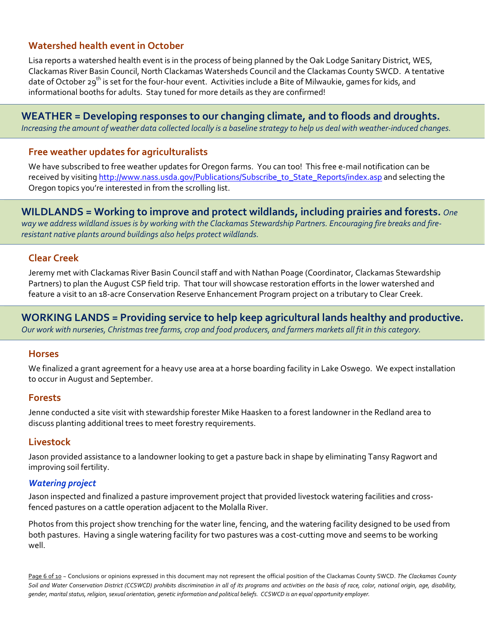### **Watershed health event in October**

Lisa reports a watershed health event is in the process of being planned by the Oak Lodge Sanitary District, WES, Clackamas River Basin Council, North Clackamas Watersheds Council and the Clackamas County SWCD. A tentative date of October 29<sup>th</sup> is set for the four-hour event. Activities include a Bite of Milwaukie, games for kids, and informational booths for adults. Stay tuned for more details as they are confirmed!

### **WEATHER = Developing responses to our changing climate, and to floods and droughts.**

*Increasing the amount of weather data collected locally is a baseline strategy to help us deal with weather-induced changes.*

### **Free weather updates for agriculturalists**

We have subscribed to free weather updates for Oregon farms. You can too! This free e-mail notification can be received by visiting http://www.nass.usda.gov/Publications/Subscribe\_to\_State\_Reports/index.asp and selecting the Oregon topics you're interested in from the scrolling list.

**WILDLANDS = Working to improve and protect wildlands, including prairies and forests.** *One way we address wildland issues is by working with the Clackamas Stewardship Partners. Encouraging fire breaks and fireresistant native plants around buildings also helps protect wildlands.*

### **Clear Creek**

Jeremy met with Clackamas River Basin Council staff and with Nathan Poage (Coordinator, Clackamas Stewardship Partners) to plan the August CSP field trip. That tour will showcase restoration efforts in the lower watershed and feature a visit to an 18-acre Conservation Reserve Enhancement Program project on a tributary to Clear Creek.

# **WORKING LANDS = Providing service to help keep agricultural lands healthy and productive.**

*Our work with nurseries, Christmas tree farms, crop and food producers, and farmers markets all fit in this category.*

#### **Horses**

We finalized a grant agreement for a heavy use area at a horse boarding facility in Lake Oswego. We expect installation to occur in August and September.

### **Forests**

Jenne conducted a site visit with stewardship forester Mike Haasken to a forest landowner in the Redland area to discuss planting additional trees to meet forestry requirements.

### **Livestock**

Jason provided assistance to a landowner looking to get a pasture back in shape by eliminating Tansy Ragwort and improving soil fertility.

### *Watering project*

Jason inspected and finalized a pasture improvement project that provided livestock watering facilities and crossfenced pastures on a cattle operation adjacent to the Molalla River.

Photos from this project show trenching for the water line, fencing, and the watering facility designed to be used from both pastures. Having a single watering facility for two pastures was a cost-cutting move and seems to be working well.

Page 6 of 10 ~ Conclusions or opinions expressed in this document may not represent the official position of the Clackamas County SWCD. *The Clackamas County Soil and Water Conservation District (CCSWCD) prohibits discrimination in all of its programs and activities on the basis of race, color, national origin, age, disability, gender, marital status, religion, sexual orientation, genetic information and political beliefs. CCSWCD is an equal opportunity employer.*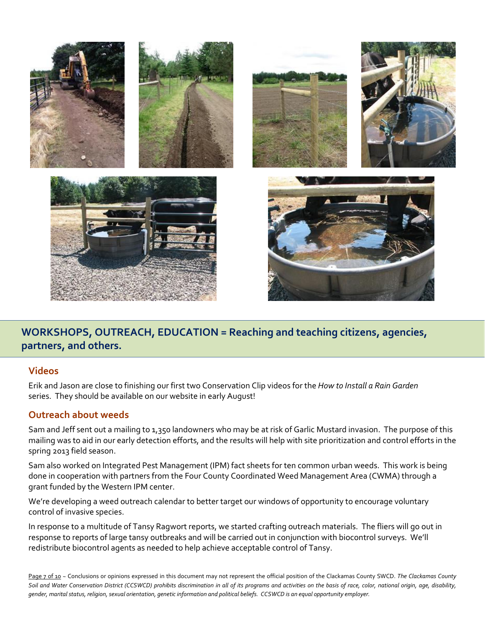

## **WORKSHOPS, OUTREACH, EDUCATION = Reaching and teaching citizens, agencies, partners, and others.**

### **Videos**

Erik and Jason are close to finishing our first two Conservation Clip videos for the *How to Install a Rain Garden* series. They should be available on our website in early August!

### **Outreach about weeds**

Sam and Jeff sent out a mailing to 1,350 landowners who may be at risk of Garlic Mustard invasion. The purpose of this mailing was to aid in our early detection efforts, and the results will help with site prioritization and control efforts in the spring 2013 field season.

Sam also worked on Integrated Pest Management (IPM) fact sheets for ten common urban weeds. This work is being done in cooperation with partners from the Four County Coordinated Weed Management Area (CWMA) through a grant funded by the Western IPM center.

We're developing a weed outreach calendar to better target our windows of opportunity to encourage voluntary control of invasive species.

In response to a multitude of Tansy Ragwort reports, we started crafting outreach materials. The fliers will go out in response to reports of large tansy outbreaks and will be carried out in conjunction with biocontrol surveys. We'll redistribute biocontrol agents as needed to help achieve acceptable control of Tansy.

Page 7 of 10 ~ Conclusions or opinions expressed in this document may not represent the official position of the Clackamas County SWCD. The Clackamas County *Soil and Water Conservation District (CCSWCD) prohibits discrimination in all of its programs and activities on the basis of race, color, national origin, age, disability, gender, marital status, religion, sexual orientation, genetic information and political beliefs. CCSWCD is an equal opportunity employer.*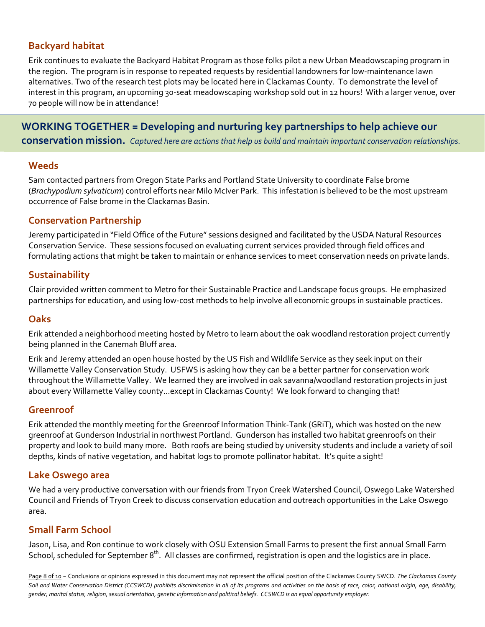### **Backyard habitat**

Erik continues to evaluate the Backyard Habitat Program as those folks pilot a new Urban Meadowscaping program in the region. The program is in response to repeated requests by residential landowners for low-maintenance lawn alternatives. Two of the research test plots may be located here in Clackamas County. To demonstrate the level of interest in this program, an upcoming 30-seat meadowscaping workshop sold out in 12 hours! With a larger venue, over 70 people will now be in attendance!

### **WORKING TOGETHER = Developing and nurturing key partnerships to help achieve our conservation mission.** *Captured here are actions that help us build and maintain important conservation relationships.*

#### **Weeds**

Sam contacted partners from Oregon State Parks and Portland State University to coordinate False brome (*Brachypodium sylvaticum*) control efforts near Milo McIver Park. This infestation is believed to be the most upstream occurrence of False brome in the Clackamas Basin.

### **Conservation Partnership**

Jeremy participated in "Field Office of the Future" sessions designed and facilitated by the USDA Natural Resources Conservation Service. These sessions focused on evaluating current services provided through field offices and formulating actions that might be taken to maintain or enhance services to meet conservation needs on private lands.

### **Sustainability**

Clair provided written comment to Metro for their Sustainable Practice and Landscape focus groups. He emphasized partnerships for education, and using low-cost methods to help involve all economic groups in sustainable practices.

### **Oaks**

Erik attended a neighborhood meeting hosted by Metro to learn about the oak woodland restoration project currently being planned in the Canemah Bluff area.

Erik and Jeremy attended an open house hosted by the US Fish and Wildlife Service as they seek input on their Willamette Valley Conservation Study. USFWS is asking how they can be a better partner for conservation work throughout the Willamette Valley. We learned they are involved in oak savanna/woodland restoration projects in just about every Willamette Valley county...except in Clackamas County! We look forward to changing that!

### **Greenroof**

Erik attended the monthly meeting for the Greenroof Information Think-Tank (GRiT), which was hosted on the new greenroof at Gunderson Industrial in northwest Portland. Gunderson has installed two habitat greenroofs on their property and look to build many more. Both roofs are being studied by university students and include a variety of soil depths, kinds of native vegetation, and habitat logs to promote pollinator habitat. It's quite a sight!

### **Lake Oswego area**

We had a very productive conversation with our friends from Tryon Creek Watershed Council, Oswego Lake Watershed Council and Friends of Tryon Creek to discuss conservation education and outreach opportunities in the Lake Oswego area.

### **Small Farm School**

Jason, Lisa, and Ron continue to work closely with OSU Extension Small Farms to present the first annual Small Farm School, scheduled for September 8<sup>th</sup>. All classes are confirmed, registration is open and the logistics are in place.

Page 8 of 10 ~ Conclusions or opinions expressed in this document may not represent the official position of the Clackamas County SWCD. *The Clackamas County Soil and Water Conservation District (CCSWCD) prohibits discrimination in all of its programs and activities on the basis of race, color, national origin, age, disability, gender, marital status, religion, sexual orientation, genetic information and political beliefs. CCSWCD is an equal opportunity employer.*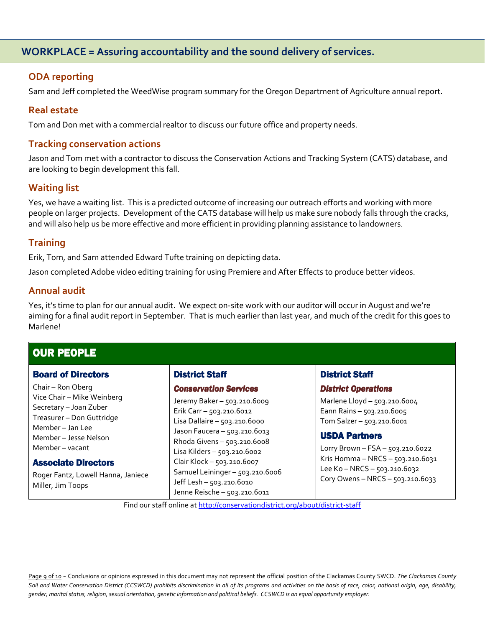### **WORKPLACE = Assuring accountability and the sound delivery of services.**

### **ODA reporting**

Sam and Jeff completed the WeedWise program summary for the Oregon Department of Agriculture annual report.

### **Real estate**

Tom and Don met with a commercial realtor to discuss our future office and property needs.

### **Tracking conservation actions**

Jason and Tom met with a contractor to discuss the Conservation Actions and Tracking System (CATS) database, and are looking to begin development this fall.

### **Waiting list**

Yes, we have a waiting list. This is a predicted outcome of increasing our outreach efforts and working with more people on larger projects. Development of the CATS database will help us make sure nobody falls through the cracks, and will also help us be more effective and more efficient in providing planning assistance to landowners.

### **Training**

Erik, Tom, and Sam attended Edward Tufte training on depicting data.

Jason completed Adobe video editing training for using Premiere and After Effects to produce better videos.

#### **Annual audit**

Yes, it's time to plan for our annual audit. We expect on-site work with our auditor will occur in August and we're aiming for a final audit report in September. That is much earlier than last year, and much of the credit for this goes to Marlene!

### OUR PEOPLE

#### **Board of Directors**

Chair – Ron Oberg Vice Chair – Mike Weinberg Secretary – Joan Zuber Treasurer – Don Guttridge Member – Jan Lee Member – Jesse Nelson Member – vacant

#### Associate Directors Associate

Roger Fantz, Lowell Hanna, Janiece Miller, Jim Toops

#### **District Staff**

#### *Conservation Services Conservation Servicesonservation Services*

Jeremy Baker – 503.210.6009 Erik Carr – 503.210.6012 Lisa Dallaire – 503.210.6000 Jason Faucera – 503.210.6013 Rhoda Givens – 503.210.6008 Lisa Kilders – 503.210.6002 Clair Klock – 503.210.6007 Samuel Leininger – 503.210.6006 Jeff Lesh – 503.210.6010 Jenne Reische – 503.210.6011

#### **District Staff**

#### *District Operations District*

Marlene Lloyd – 503.210.6004 Eann Rains – 503.210.6005 Tom Salzer – 503.210.6001

#### **USDA Partners**

Lorry Brown – FSA – 503.210.6022 Kris Homma – NRCS – 503.210.6031 Lee Ko – NRCS – 503.210.6032 Cory Owens – NRCS – 503.210.6033

Find our staff online at http://conservationdistrict.org/about/district-staff

Page 9 of 10 ~ Conclusions or opinions expressed in this document may not represent the official position of the Clackamas County SWCD. The Clackamas County *Soil and Water Conservation District (CCSWCD) prohibits discrimination in all of its programs and activities on the basis of race, color, national origin, age, disability, gender, marital status, religion, sexual orientation, genetic information and political beliefs. CCSWCD is an equal opportunity employer.*